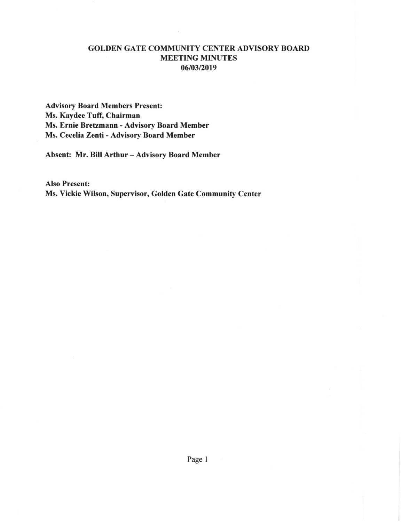## GOLDEN GATE COMMUNITY CENTER ADVISORY BOARD MEETING MINUTES 0610312019

Advisory Board Members Present: Ms. Kaydee Tuff, Chairman Ms. Ernie Brefzmann - Advisory Board Member Ms. Cecelia Zenti - Advisory Board Member

Absent: Mr. Bill Arthur - Advisory Board Member

Also Present: Ms. Vickie Wilson, Supervisor, Golden Gate Community Center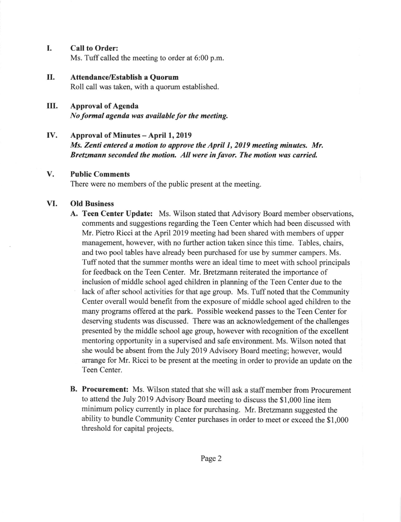I. Call to Order:

Ms. Tuff called the meeting to order at 6:00 p.m.

II. Attendance/Establish a Quorum

Roll call was taken, with a quorum established.

- III. Approval of Agenda No formal agenda was available for the meeting.
- IV. Approval of Minutes - April 1, <sup>2019</sup>

Ms. Zenti entered a motion to approve the April 1, 2019 meeting minutes. Mr. Bretzmann seconded the motion. All were in favor. The motion was carried.

### Public Comments v.

There were no members of the public present at the meeting.

#### Old Business VI,

- A. Teen Center Update: Ms. Wilson stated that Advisory Board member observations, comments and suggestions regarding the Teen Center which had been discussed with Mr. Pietro Ricci at the April 2019 meeting had been shared with members of upper management, however, with no further action taken since this time. Tables, chairs, and two pool tables have already been purchased for use by summer campers. Ms. Tuff noted that the summer months were an ideal time to meet with school principals for feedback on the Teen Center. Mr. Bretzmann reiterated the importance of inclusion of middle school aged children in planning of the Teen Center due to the lack of after school activities for that age group. Ms. Tuff noted that the Community Center overall would benefit from the exposue of middle school aged children to the many programs offered at the park. Possible weekend passes to the Teen Center for deserving students was discussed. There was an acknowledgement of the challenges presented by the middle school age group, however with recognition of the excellent mentoring opportunity in a supervised and safe environment. Ms. Wilson noted that she would be absent from the July 2019 Advisory Board meeting; however, would arrange for Mr. Ricci to be present at the meeting in order to provide an update on the Teen Center.
- B. Procurement: Ms. Wilson stated that she will ask a staff member from Procurement to attend the July 2019 Advisory Board meeting to discuss the \$1,000 line item minimum policy currently in place for purchasing. Mr. Bretzmann suggested the ability to bundle Community Center purchases in order to meet or exceed the \$1,000 threshold for capital projects.